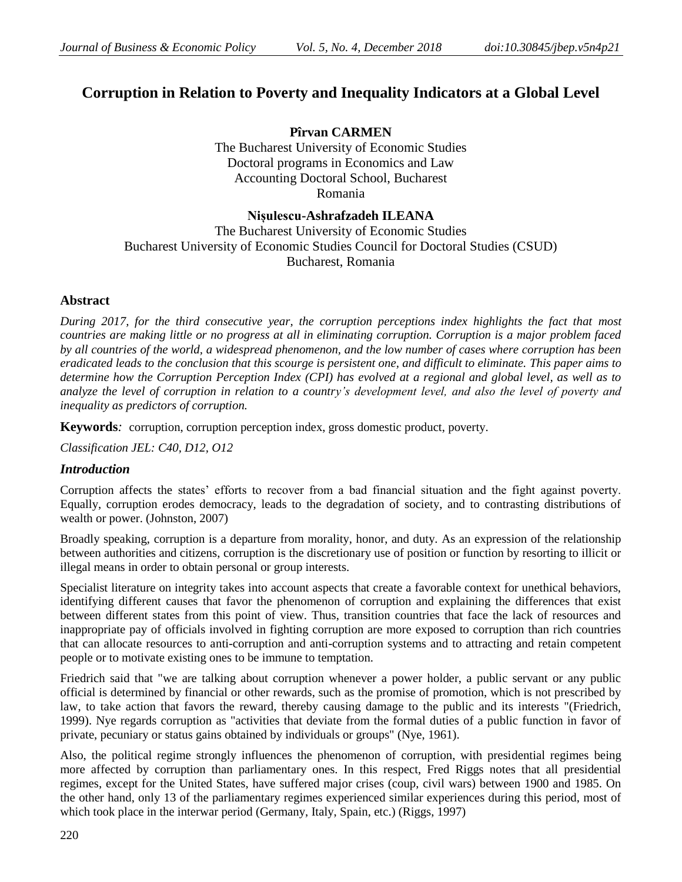# **Corruption in Relation to Poverty and Inequality Indicators at a Global Level**

**Pîrvan CARMEN** The Bucharest University of Economic Studies Doctoral programs in Economics and Law Accounting Doctoral School, Bucharest Romania

### **Nișulescu-Ashrafzadeh ILEANA**

The Bucharest University of Economic Studies Bucharest University of Economic Studies Council for Doctoral Studies (CSUD) Bucharest, Romania

### **Abstract**

*During 2017, for the third consecutive year, the corruption perceptions index highlights the fact that most countries are making little or no progress at all in eliminating corruption. Corruption is a major problem faced by all countries of the world, a widespread phenomenon, and the low number of cases where corruption has been eradicated leads to the conclusion that this scourge is persistent one, and difficult to eliminate. This paper aims to determine how the Corruption Perception Index (CPI) has evolved at a regional and global level, as well as to analyze the level of corruption in relation to a country's development level, and also the level of poverty and inequality as predictors of corruption.*

**Keywords***:* corruption, corruption perception index, gross domestic product, poverty.

*Classification JEL: C40, D12, O12*

#### *Introduction*

Corruption affects the states' efforts to recover from a bad financial situation and the fight against poverty. Equally, corruption erodes democracy, leads to the degradation of society, and to contrasting distributions of wealth or power. (Johnston, 2007)

Broadly speaking, corruption is a departure from morality, honor, and duty. As an expression of the relationship between authorities and citizens, corruption is the discretionary use of position or function by resorting to illicit or illegal means in order to obtain personal or group interests.

Specialist literature on integrity takes into account aspects that create a favorable context for unethical behaviors, identifying different causes that favor the phenomenon of corruption and explaining the differences that exist between different states from this point of view. Thus, transition countries that face the lack of resources and inappropriate pay of officials involved in fighting corruption are more exposed to corruption than rich countries that can allocate resources to anti-corruption and anti-corruption systems and to attracting and retain competent people or to motivate existing ones to be immune to temptation.

Friedrich said that "we are talking about corruption whenever a power holder, a public servant or any public official is determined by financial or other rewards, such as the promise of promotion, which is not prescribed by law, to take action that favors the reward, thereby causing damage to the public and its interests "(Friedrich, 1999). Nye regards corruption as "activities that deviate from the formal duties of a public function in favor of private, pecuniary or status gains obtained by individuals or groups" (Nye, 1961).

Also, the political regime strongly influences the phenomenon of corruption, with presidential regimes being more affected by corruption than parliamentary ones. In this respect, Fred Riggs notes that all presidential regimes, except for the United States, have suffered major crises (coup, civil wars) between 1900 and 1985. On the other hand, only 13 of the parliamentary regimes experienced similar experiences during this period, most of which took place in the interwar period (Germany, Italy, Spain, etc.) (Riggs, 1997)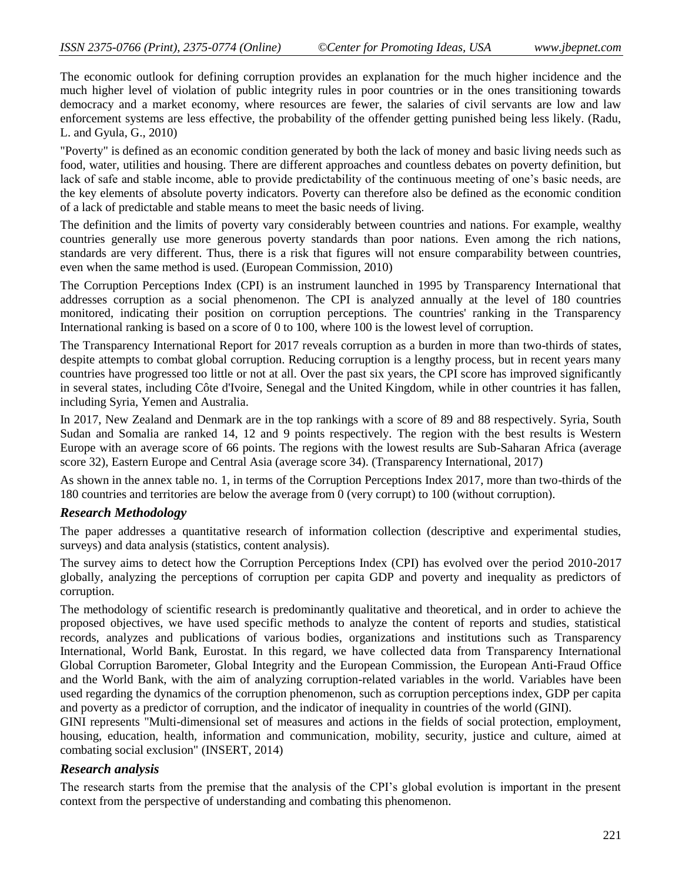The economic outlook for defining corruption provides an explanation for the much higher incidence and the much higher level of violation of public integrity rules in poor countries or in the ones transitioning towards democracy and a market economy, where resources are fewer, the salaries of civil servants are low and law enforcement systems are less effective, the probability of the offender getting punished being less likely. (Radu, L. and Gyula, G., 2010)

"Poverty" is defined as an economic condition generated by both the lack of money and basic living needs such as food, water, utilities and housing. There are different approaches and countless debates on poverty definition, but lack of safe and stable income, able to provide predictability of the continuous meeting of one's basic needs, are the key elements of absolute poverty indicators. Poverty can therefore also be defined as the economic condition of a lack of predictable and stable means to meet the basic needs of living.

The definition and the limits of poverty vary considerably between countries and nations. For example, wealthy countries generally use more generous poverty standards than poor nations. Even among the rich nations, standards are very different. Thus, there is a risk that figures will not ensure comparability between countries, even when the same method is used. (European Commission, 2010)

The Corruption Perceptions Index (CPI) is an instrument launched in 1995 by Transparency International that addresses corruption as a social phenomenon. The CPI is analyzed annually at the level of 180 countries monitored, indicating their position on corruption perceptions. The countries' ranking in the Transparency International ranking is based on a score of 0 to 100, where 100 is the lowest level of corruption.

The Transparency International Report for 2017 reveals corruption as a burden in more than two-thirds of states, despite attempts to combat global corruption. Reducing corruption is a lengthy process, but in recent years many countries have progressed too little or not at all. Over the past six years, the CPI score has improved significantly in several states, including Côte d'Ivoire, Senegal and the United Kingdom, while in other countries it has fallen, including Syria, Yemen and Australia.

In 2017, New Zealand and Denmark are in the top rankings with a score of 89 and 88 respectively. Syria, South Sudan and Somalia are ranked 14, 12 and 9 points respectively. The region with the best results is Western Europe with an average score of 66 points. The regions with the lowest results are Sub-Saharan Africa (average score 32), Eastern Europe and Central Asia (average score 34). (Transparency International, 2017)

As shown in the annex table no. 1, in terms of the Corruption Perceptions Index 2017, more than two-thirds of the 180 countries and territories are below the average from 0 (very corrupt) to 100 (without corruption).

### *Research Methodology*

The paper addresses a quantitative research of information collection (descriptive and experimental studies, surveys) and data analysis (statistics, content analysis).

The survey aims to detect how the Corruption Perceptions Index (CPI) has evolved over the period 2010-2017 globally, analyzing the perceptions of corruption per capita GDP and poverty and inequality as predictors of corruption.

The methodology of scientific research is predominantly qualitative and theoretical, and in order to achieve the proposed objectives, we have used specific methods to analyze the content of reports and studies, statistical records, analyzes and publications of various bodies, organizations and institutions such as Transparency International, World Bank, Eurostat. In this regard, we have collected data from Transparency International Global Corruption Barometer, Global Integrity and the European Commission, the European Anti-Fraud Office and the World Bank, with the aim of analyzing corruption-related variables in the world. Variables have been used regarding the dynamics of the corruption phenomenon, such as corruption perceptions index, GDP per capita and poverty as a predictor of corruption, and the indicator of inequality in countries of the world (GINI).

GINI represents "Multi-dimensional set of measures and actions in the fields of social protection, employment, housing, education, health, information and communication, mobility, security, justice and culture, aimed at combating social exclusion" (INSERT, 2014)

### *Research analysis*

The research starts from the premise that the analysis of the CPI's global evolution is important in the present context from the perspective of understanding and combating this phenomenon.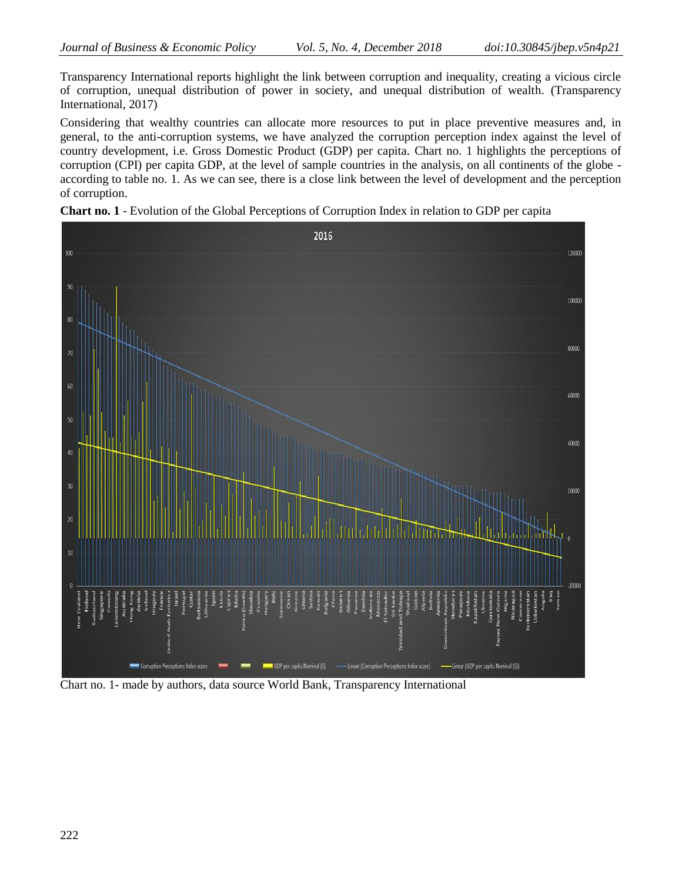Transparency International reports highlight the link between corruption and inequality, creating a vicious circle of corruption, unequal distribution of power in society, and unequal distribution of wealth. (Transparency International, 2017)

Considering that wealthy countries can allocate more resources to put in place preventive measures and, in general, to the anti-corruption systems, we have analyzed the corruption perception index against the level of country development, i.e. Gross Domestic Product (GDP) per capita. Chart no. 1 highlights the perceptions of corruption (CPI) per capita GDP, at the level of sample countries in the analysis, on all continents of the globe according to table no. 1. As we can see, there is a close link between the level of development and the perception of corruption.





Chart no. 1- made by authors, data source World Bank, Transparency International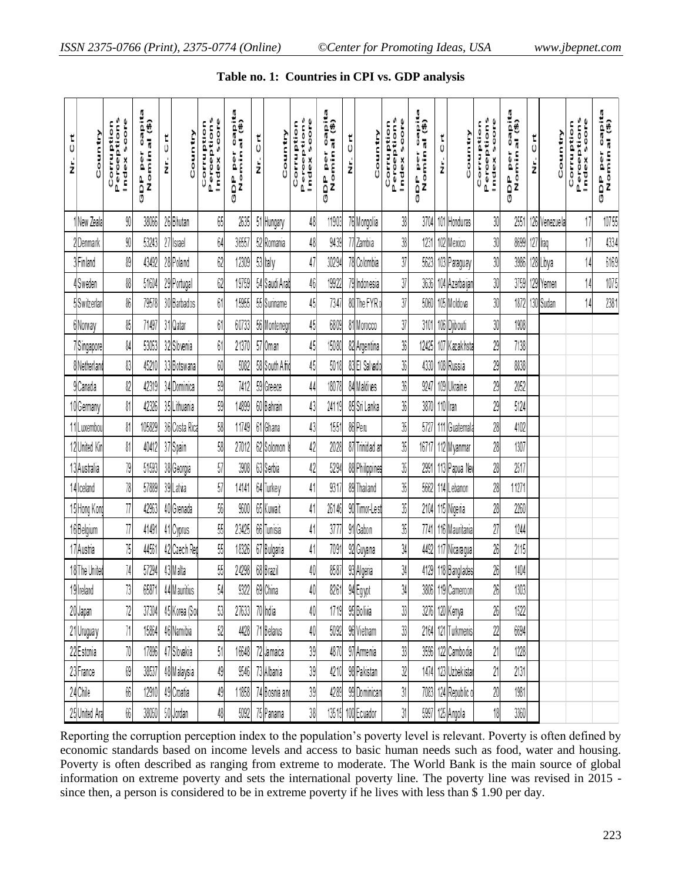| $\frac{t}{0}$<br>ż | Country                    | Perceptions<br>soore<br>Corruption<br>Index | capita<br>Nominal (\$)<br>GDP per | 등<br>ż | Country       | <b>Corruption</b><br>Perceptions<br>soore<br>Index | capita<br>al (\$)<br>GDP per<br>Nomin | $\frac{t}{0}$<br>ż | Country        | Perceptions<br>soore<br>Corruption<br>Index | capita<br>Nominal (\$)<br>ē<br>0<br>e<br>De | 5<br>ż | Country        | <b>Corruption</b><br>Perceptions<br>score<br>Index | DP per capita<br>Nominal (\$)<br>۵<br>تا | 5<br>ż | Country             | Perceptions<br>soore<br>Corruption<br>Index | DP per capita<br>Nominal (\$)<br>e<br>GDP | 5<br>ż | Country       | Perceptions<br>soore<br>Corruption<br>Index | capita<br>Nominal (\$)<br>a<br>0<br>e<br>GDP |
|--------------------|----------------------------|---------------------------------------------|-----------------------------------|--------|---------------|----------------------------------------------------|---------------------------------------|--------------------|----------------|---------------------------------------------|---------------------------------------------|--------|----------------|----------------------------------------------------|------------------------------------------|--------|---------------------|---------------------------------------------|-------------------------------------------|--------|---------------|---------------------------------------------|----------------------------------------------|
|                    | New Zeala                  | 90                                          | 38066                             |        | 26Bhutan      | 65                                                 | 2635                                  |                    | 51 Hungary     | 48                                          | 11903                                       |        | 76 Mongolia    | 38                                                 | 3704                                     |        | 101 Honduras        | 30                                          | 255                                       |        | 126 Venezuela | 17                                          | 10755                                        |
|                    | 2 Denmark                  | 90                                          | 53243                             |        | 27 Israel     | 64                                                 | 36557                                 |                    | 52 Romania     | 48                                          | 9439                                        |        | 77 Zambia      | 38                                                 | 1231                                     |        | 102 Mexico          | 30                                          | 8699                                      |        | 127 Iraq      | 17                                          | 4334                                         |
|                    | <b>SFinland</b>            | 89                                          | 43492                             |        | 28 Poland     | 62                                                 | 12309                                 |                    | 53 Italy       | 47                                          | 30294                                       |        | 78 Colombia    | 37                                                 | 5623                                     |        | 103 Paraguay        | 30                                          | 3986                                      |        | 128 Libya     | 14                                          | 6169                                         |
|                    | ! Sweden                   | 88                                          | 51604                             |        | 29 Portugal   | 62                                                 | 19759                                 |                    | 54 Saudi Arab  | 46                                          | 19922                                       |        | 79 Indonesia   | 37                                                 | 3636                                     |        | 104 Azerbaijan      | 30                                          | 3759                                      |        | 129 Yemen     | 14                                          | 1075                                         |
|                    | 5Switzerlan                | 86                                          | 79578                             |        | 30 Barbados   | 61                                                 | 15955                                 |                    | 55 Suriname    | 45                                          | 7347                                        |        | 80 The FYR o   | 37                                                 | 5060                                     |        | 105 Moldova         | 30                                          | 1872                                      |        | 130 Sudan     | 14                                          | 2381                                         |
|                    | 6 Norway                   | 85                                          | 71497                             |        | 31 Qatar      | 61                                                 | 60733                                 |                    | 56 Montenegr   | 45                                          | 6809                                        |        | 81 Morocco     | 37                                                 | 3101                                     |        | 106 Djibouti        | 30                                          | 1908                                      |        |               |                                             |                                              |
|                    | /Singapore                 | 84                                          | 53053                             |        | 32 Slovenia   | 61                                                 | 21370                                 |                    | 57 Oman        | 45                                          | 15080                                       |        | 82 Argentina   | 36                                                 | 12425                                    |        | 107 Kazakhsta       | 29                                          | 7138                                      |        |               |                                             |                                              |
|                    | 8 Netherland               | 83                                          | 45210                             |        | 33 Botswana   | 60                                                 | 5082                                  |                    | 58 South Afric | 45                                          | 5018                                        |        | 83 El Salvado  | 36                                                 | 4330                                     |        | 108 Russia          | 29                                          | 8838                                      |        |               |                                             |                                              |
|                    | 9 Canada                   | 82                                          | 42319                             |        | 34 Dominica   | 59                                                 | 7412                                  |                    | 59 Greece      | 44                                          | 18078                                       |        | 84 Maldives    | 36                                                 | 9247                                     |        | 109 Ukraine         | 29                                          | 2052                                      |        |               |                                             |                                              |
|                    | 10 Germany                 | 81                                          | 42326                             |        | 35 Lithuania  | 59                                                 | 14899                                 |                    | 60 Bahrain     | 43                                          | 24119                                       |        | 85 Sri Lanka   | 36                                                 | 3870                                     |        | 110 Iran            | 29                                          | 5124                                      |        |               |                                             |                                              |
|                    | 11 Luxembou                | 81                                          | 105829                            |        | 36 Costa Rica | 58                                                 | 11749                                 |                    | 61 Ghana       | 43                                          | 1551                                        |        | 86 Peru        | 35                                                 | 5727                                     |        | 111 Guatemala       | 28                                          | 4102                                      |        |               |                                             |                                              |
|                    | 12United Kin               | 81                                          | 40412                             |        | 37 Spain      | $58\,$                                             | 27012                                 |                    | 62 Solomon     | 42                                          | 2028                                        |        | 87 Trinidad an | 35                                                 | 16717                                    |        | 112 Myanmar         | 28                                          | 1307                                      |        |               |                                             |                                              |
|                    | 13 Australia               | 79                                          | 51593                             |        | 38 Georgia    | 57                                                 | 3908                                  |                    | 63 Serbia      | 42                                          | 5294                                        |        | 88 Philippines | 35                                                 | 2991                                     |        | 113 Papua Nev       | 28                                          | 2517                                      |        |               |                                             |                                              |
|                    | 14 lceland                 | 78                                          | 57889                             |        | 39 Latva      | 57                                                 | 14141                                 |                    | 64 Turkey      | 41                                          | 9317                                        |        | 89 Thailand    | 35                                                 | 5662                                     |        | 114 Lebanon         | 28                                          | 11271                                     |        |               |                                             |                                              |
|                    | 15 <mark> Hong Kong</mark> | 77                                          | 42963                             |        | 40Grenada     | 56                                                 | 9600                                  |                    | 65 Kuwait      | 41                                          | 26146                                       |        | 90 Timor-Lest  | 35                                                 | 2104                                     |        | 115 Nigeria         | 28                                          | 2260                                      |        |               |                                             |                                              |
|                    | 16 Belgium                 | 77                                          | 41491                             |        | 41 Cyprus     | 55                                                 | 23425                                 |                    | 66 Tunisia     | 41                                          | 3777                                        |        | 91 Gabon       | 35                                                 | 7741                                     |        | 116 Mauritania      | 27                                          | 1244                                      |        |               |                                             |                                              |
|                    | 17 Austria                 | 75                                          | 4456                              |        | 42 Czech Rep  | 55                                                 | 18326                                 |                    | 67 Bulgaria    | 41                                          | 7091                                        |        | 92 Guyana      | 34                                                 | 4492                                     |        | 117 Nicaragual      | 26                                          | 2115                                      |        |               |                                             |                                              |
|                    | 18The United               | 74                                          | 57294                             |        | 43 Malta      | 55                                                 | 24298                                 |                    | 68 Brazil      | 40                                          | 8587                                        |        | 93 Algeria     | 34                                                 | 4129                                     |        | 118 Banglades       | 26                                          | 1404                                      |        |               |                                             |                                              |
|                    | 19 Ireland                 | 73                                          | 6587                              |        | 44 M auritius | 54                                                 | 9322                                  |                    | 69 China       | 40                                          | 8261                                        |        | 94 Egypt       | 34                                                 | 3806                                     |        | 119 Cameroon        | 26                                          | 1303                                      |        |               |                                             |                                              |
|                    | 20 Japan                   | 72                                          | 37304                             |        | 45 Korea (Sor | 53                                                 | 27633                                 |                    | 70 India       | 40                                          | 1719                                        |        | 95 Bolivia     | 33                                                 | 3276                                     |        | 120 Kenya           | $26\,$                                      | 1522                                      |        |               |                                             |                                              |
|                    | 21 Uruguay                 | 71                                          | 15864                             |        | 46 Namibia    | 52                                                 | 4428                                  |                    | 71 Belarus     | 40                                          | 5092                                        |        | 96 Vietnam     | 33                                                 | 2164                                     |        | 121 Turkmenis       | 22                                          | 6694                                      |        |               |                                             |                                              |
|                    | 22 Estonia                 | 70                                          | 17896                             |        | 47 Slovakia   | 51                                                 | 16648                                 |                    | 72 Jamaica     | 39                                          | 4870                                        |        | 97 Armenia     | 33                                                 | 3596                                     |        | 122 Cambodia        | 21                                          | 1228                                      |        |               |                                             |                                              |
|                    | 23 France                  | 69                                          | 38537                             |        | 48 Malaysia   | 49                                                 | 9546                                  |                    | 73 Albania     | 39                                          | 4210                                        |        | 98 Pakistan    | 32                                                 |                                          |        | 1474 123 Uzbekistar | 21                                          | 2131                                      |        |               |                                             |                                              |
|                    | 24 Chile                   | 66                                          | 12910                             |        | 49 Croatia    | 49                                                 | 1858                                  |                    | Bosnia an      | 39                                          | 4289                                        |        | 99 Dominican   | 31                                                 | 7083                                     |        | 124 Republic of     | 20                                          | 1981                                      |        |               |                                             |                                              |
|                    | 25 United Ara              | 66                                          | 38050                             |        | 50 Jordan     | 48                                                 | 5092                                  |                    | 75 Panama      | 38                                          | 13515                                       |        | 100 Ecuador    | 31                                                 |                                          |        | 5997 125 Angola     | $18\,$                                      | 3360                                      |        |               |                                             |                                              |

#### **Table no. 1: Countries in CPI vs. GDP analysis**

Reporting the corruption perception index to the population's poverty level is relevant. Poverty is often defined by economic standards based on income levels and access to basic human needs such as food, water and housing. Poverty is often described as ranging from extreme to moderate. The World Bank is the main source of global information on extreme poverty and sets the international poverty line. The poverty line was revised in 2015 since then, a person is considered to be in extreme poverty if he lives with less than \$ 1.90 per day.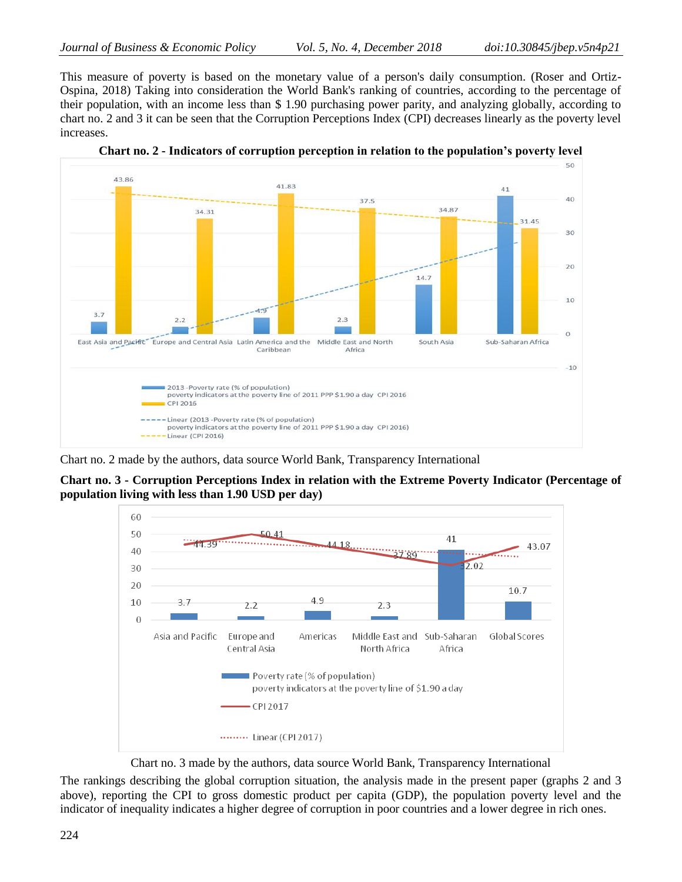This measure of poverty is based on the monetary value of a person's daily consumption. (Roser and Ortiz-Ospina, 2018) Taking into consideration the World Bank's ranking of countries, according to the percentage of their population, with an income less than \$ 1.90 purchasing power parity, and analyzing globally, according to chart no. 2 and 3 it can be seen that the Corruption Perceptions Index (CPI) decreases linearly as the poverty level increases.



**Chart no. 2 - Indicators of corruption perception in relation to the population's poverty level**

Chart no. 2 made by the authors, data source World Bank, Transparency International

**Chart no. 3 - Corruption Perceptions Index in relation with the Extreme Poverty Indicator (Percentage of population living with less than 1.90 USD per day)**



Chart no. 3 made by the authors, data source World Bank, Transparency International

The rankings describing the global corruption situation, the analysis made in the present paper (graphs 2 and 3 above), reporting the CPI to gross domestic product per capita (GDP), the population poverty level and the indicator of inequality indicates a higher degree of corruption in poor countries and a lower degree in rich ones.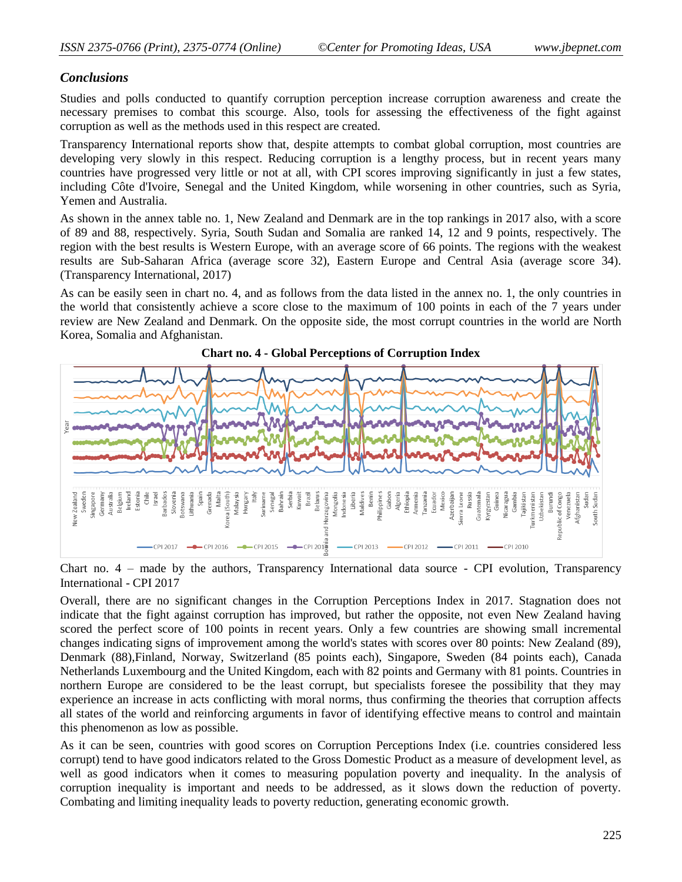#### *Conclusions*

Studies and polls conducted to quantify corruption perception increase corruption awareness and create the necessary premises to combat this scourge. Also, tools for assessing the effectiveness of the fight against corruption as well as the methods used in this respect are created.

Transparency International reports show that, despite attempts to combat global corruption, most countries are developing very slowly in this respect. Reducing corruption is a lengthy process, but in recent years many countries have progressed very little or not at all, with CPI scores improving significantly in just a few states, including Côte d'Ivoire, Senegal and the United Kingdom, while worsening in other countries, such as Syria, Yemen and Australia.

As shown in the annex table no. 1, New Zealand and Denmark are in the top rankings in 2017 also, with a score of 89 and 88, respectively. Syria, South Sudan and Somalia are ranked 14, 12 and 9 points, respectively. The region with the best results is Western Europe, with an average score of 66 points. The regions with the weakest results are Sub-Saharan Africa (average score 32), Eastern Europe and Central Asia (average score 34). (Transparency International, 2017)

As can be easily seen in chart no. 4, and as follows from the data listed in the annex no. 1, the only countries in the world that consistently achieve a score close to the maximum of 100 points in each of the 7 years under review are New Zealand and Denmark. On the opposite side, the most corrupt countries in the world are North Korea, Somalia and Afghanistan.



**Chart no. 4 - Global Perceptions of Corruption Index**

Chart no. 4 – made by the authors, Transparency International data source - CPI evolution, Transparency International - CPI 2017

Overall, there are no significant changes in the Corruption Perceptions Index in 2017. Stagnation does not indicate that the fight against corruption has improved, but rather the opposite, not even New Zealand having scored the perfect score of 100 points in recent years. Only a few countries are showing small incremental changes indicating signs of improvement among the world's states with scores over 80 points: New Zealand (89), Denmark (88),Finland, Norway, Switzerland (85 points each), Singapore, Sweden (84 points each), Canada Netherlands Luxembourg and the United Kingdom, each with 82 points and Germany with 81 points. Countries in northern Europe are considered to be the least corrupt, but specialists foresee the possibility that they may experience an increase in acts conflicting with moral norms, thus confirming the theories that corruption affects all states of the world and reinforcing arguments in favor of identifying effective means to control and maintain this phenomenon as low as possible.

As it can be seen, countries with good scores on Corruption Perceptions Index (i.e. countries considered less corrupt) tend to have good indicators related to the Gross Domestic Product as a measure of development level, as well as good indicators when it comes to measuring population poverty and inequality. In the analysis of corruption inequality is important and needs to be addressed, as it slows down the reduction of poverty. Combating and limiting inequality leads to poverty reduction, generating economic growth.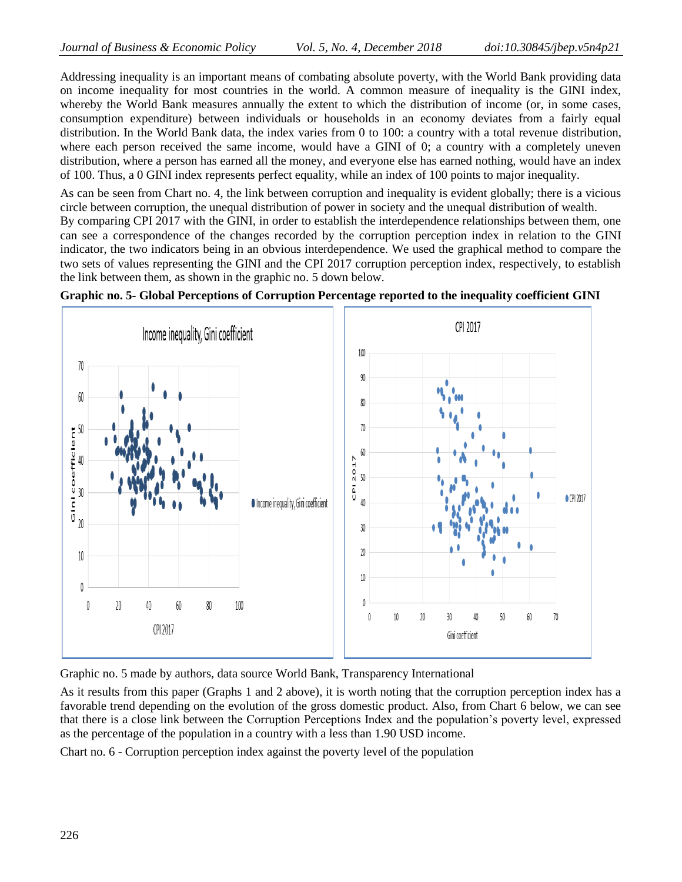Addressing inequality is an important means of combating absolute poverty, with the World Bank providing data on income inequality for most countries in the world. A common measure of inequality is the GINI index, whereby the World Bank measures annually the extent to which the distribution of income (or, in some cases, consumption expenditure) between individuals or households in an economy deviates from a fairly equal distribution. In the World Bank data, the index varies from 0 to 100: a country with a total revenue distribution, where each person received the same income, would have a GINI of 0; a country with a completely uneven distribution, where a person has earned all the money, and everyone else has earned nothing, would have an index of 100. Thus, a 0 GINI index represents perfect equality, while an index of 100 points to major inequality.

As can be seen from Chart no. 4, the link between corruption and inequality is evident globally; there is a vicious circle between corruption, the unequal distribution of power in society and the unequal distribution of wealth.

By comparing CPI 2017 with the GINI, in order to establish the interdependence relationships between them, one can see a correspondence of the changes recorded by the corruption perception index in relation to the GINI indicator, the two indicators being in an obvious interdependence. We used the graphical method to compare the two sets of values representing the GINI and the CPI 2017 corruption perception index, respectively, to establish the link between them, as shown in the graphic no. 5 down below.





Graphic no. 5 made by authors, data source World Bank, Transparency International

As it results from this paper (Graphs 1 and 2 above), it is worth noting that the corruption perception index has a favorable trend depending on the evolution of the gross domestic product. Also, from Chart 6 below, we can see that there is a close link between the Corruption Perceptions Index and the population's poverty level, expressed as the percentage of the population in a country with a less than 1.90 USD income.

Chart no. 6 - Corruption perception index against the poverty level of the population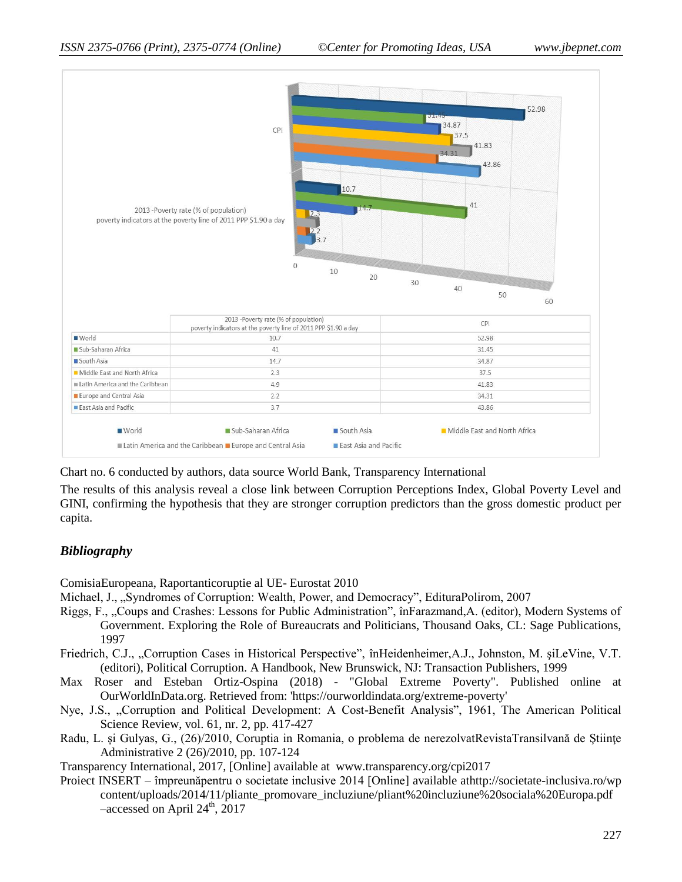

Chart no. 6 conducted by authors, data source World Bank, Transparency International

The results of this analysis reveal a close link between Corruption Perceptions Index, Global Poverty Level and GINI, confirming the hypothesis that they are stronger corruption predictors than the gross domestic product per capita.

## *Bibliography*

ComisiaEuropeana, Raportanticoruptie al UE- Eurostat 2010

- Michael, J., "Syndromes of Corruption: Wealth, Power, and Democracy", EdituraPolirom, 2007
- Riggs, F., "Coups and Crashes: Lessons for Public Administration", înFarazmand,A. (editor), Modern Systems of Government. Exploring the Role of Bureaucrats and Politicians, Thousand Oaks, CL: Sage Publications, 1997
- Friedrich, C.J., "Corruption Cases in Historical Perspective", înHeidenheimer,A.J., Johnston, M. şiLeVine, V.T. (editori), Political Corruption. A Handbook, New Brunswick, NJ: Transaction Publishers, 1999
- Max Roser and Esteban Ortiz-Ospina (2018) "Global Extreme Poverty". Published online at OurWorldInData.org. Retrieved from: 'https://ourworldindata.org/extreme-poverty'
- Nye, J.S., "Corruption and Political Development: A Cost-Benefit Analysis", 1961, The American Political Science Review, vol. 61, nr. 2, pp. 417-427
- Radu, L. și Gulyas, G., (26)/2010, Coruptia in Romania, o problema de nerezolvatRevistaTransilvană de Științe Administrative 2 (26)/2010, pp. 107-124

Transparency International, 2017, [Online] available at www.transparency.org/cpi2017

Proiect INSERT – împreunăpentru o societate inclusive 2014 [Online] available a[thttp://societate-inclusiva.ro/wp](http://societate-inclusiva.ro/wp-content/uploads/2014/11/pliante_promovare_incluziune/pliant%20incluziune%20sociala%20Europa.pdf)  [content/uploads/2014/11/pliante\\_promovare\\_incluziune/pliant%20incluziune%20sociala%20Europa.pdf](http://societate-inclusiva.ro/wp-content/uploads/2014/11/pliante_promovare_incluziune/pliant%20incluziune%20sociala%20Europa.pdf)  $-$ accessed on April 24<sup>th</sup>, 2017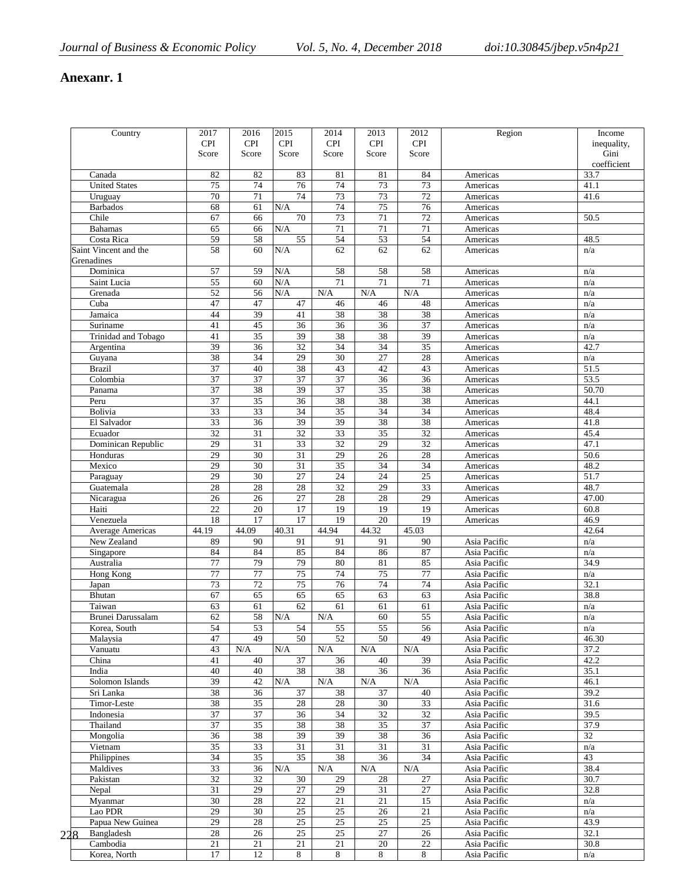# **Anexanr. 1**

|     | Country                             | 2017            | 2016            | 2015                  | 2014                  | 2013            | 2012            | Region                       | Income       |
|-----|-------------------------------------|-----------------|-----------------|-----------------------|-----------------------|-----------------|-----------------|------------------------------|--------------|
|     |                                     | <b>CPI</b>      | <b>CPI</b>      | <b>CPI</b>            | <b>CPI</b>            | <b>CPI</b>      | <b>CPI</b>      |                              | inequality,  |
|     |                                     | Score           | Score           | Score                 | Score                 | Score           | Score           |                              | Gini         |
|     |                                     |                 |                 |                       |                       |                 |                 |                              | coefficient  |
|     | Canada                              | 82              | 82              | 83                    | 81                    | 81              | 84              | Americas                     | 33.7         |
|     | <b>United States</b>                | 75              | 74              | 76                    | 74                    | $\overline{73}$ | 73              | Americas                     | 41.1         |
|     | Uruguay                             | 70              | 71              | 74                    | 73                    | 73              | 72              | Americas                     | 41.6         |
|     |                                     |                 |                 |                       |                       |                 |                 |                              |              |
|     | <b>Barbados</b>                     | 68              | 61              | N/A                   | 74                    | 75              | 76              | Americas                     |              |
|     | Chile                               | 67              | 66              | 70                    | 73                    | $\overline{71}$ | 72              | Americas                     | 50.5         |
|     | <b>Bahamas</b>                      | 65              | 66              | N/A                   | 71                    | $\overline{71}$ | 71              | Americas                     |              |
|     | Costa Rica                          | 59              | 58              | $\overline{55}$       | 54                    | 53              | 54              | Americas                     | 48.5         |
|     | Saint Vincent and the<br>Grenadines | 58              | 60              | N/A                   | 62                    | 62              | 62              | Americas                     | n/a          |
|     | Dominica                            | 57              | 59              | N/A                   | 58                    | 58              | 58              | Americas                     | n/a          |
|     | Saint Lucia                         | 55              | 60              | N/A                   | $\overline{71}$       | $\overline{71}$ | $\overline{71}$ | Americas                     | n/a          |
|     | Grenada                             | $\overline{52}$ | 56              | N/A                   | N/A                   | $\rm N/A$       | N/A             | Americas                     | n/a          |
|     | Cuba                                | 47              | 47              | 47                    | 46                    | 46              | 48              | Americas                     | n/a          |
|     | Jamaica                             | 44              | 39              | 41                    | 38                    | 38              | 38              | Americas                     | n/a          |
|     | Suriname                            | 41              | 45              | $\overline{36}$       | $\overline{36}$       | 36              | 37              |                              | n/a          |
|     |                                     |                 |                 |                       |                       |                 |                 | Americas                     |              |
|     | Trinidad and Tobago                 | 41              | 35              | 39                    | 38                    | 38              | 39              | Americas                     | n/a          |
|     | Argentina                           | 39              | 36              | 32                    | 34                    | 34              | $\overline{35}$ | Americas                     | 42.7         |
|     | Guyana                              | 38              | $\overline{34}$ | 29                    | 30                    | 27              | 28              | Americas                     | n/a          |
|     | <b>Brazil</b>                       | 37              | 40              | 38                    | 43                    | 42              | 43              | Americas                     | 51.5         |
|     | Colombia                            | $\overline{37}$ | $\overline{37}$ | $\overline{37}$       | $\overline{37}$       | 36              | $\overline{36}$ | Americas                     | 53.5         |
|     | Panama                              | $\overline{37}$ | 38              | 39                    | $\overline{37}$       | 35              | 38              | Americas                     | 50.70        |
|     | Peru                                | 37              | 35              | 36                    | 38                    | 38              | 38              | Americas                     | 44.1         |
|     | Bolivia                             | 33              | 33              | 34                    | 35                    | 34              | 34              | Americas                     | 48.4         |
|     | El Salvador                         | 33              | 36              | 39                    | 39                    |                 | 38              |                              | 41.8         |
|     |                                     |                 |                 |                       |                       | 38              |                 | Americas                     |              |
|     | Ecuador                             | 32              | $\overline{31}$ | 32                    | 33                    | 35              | 32              | Americas                     | 45.4         |
|     | Dominican Republic                  | 29              | $\overline{31}$ | $\overline{33}$       | $\overline{32}$       | $\overline{29}$ | $\overline{32}$ | Americas                     | 47.1         |
|     | Honduras                            | 29              | 30              | 31                    | 29                    | 26              | 28              | Americas                     | 50.6         |
|     | Mexico                              | 29              | $\overline{30}$ | 31                    | 35                    | $\overline{34}$ | $\overline{34}$ | Americas                     | 48.2         |
|     | Paraguay                            | 29              | 30              | 27                    | 24                    | 24              | 25              | Americas                     | 51.7         |
|     | Guatemala                           | 28              | 28              | 28                    | 32                    | 29              | $\overline{33}$ | Americas                     | 48.7         |
|     | Nicaragua                           | $\overline{26}$ | $\overline{26}$ | 27                    | 28                    | 28              | 29              | Americas                     | 47.00        |
|     | Haiti                               | $\overline{22}$ | 20              | 17                    | 19                    | 19              | 19              | Americas                     | 60.8         |
|     | Venezuela                           | 18              | 17              | 17                    | 19                    | 20              | 19              |                              | 46.9         |
|     |                                     |                 |                 |                       |                       |                 |                 | Americas                     |              |
|     | Average Americas                    | 44.19           | 44.09           | 40.31                 | 44.94                 | 44.32           | 45.03           |                              | 42.64        |
|     | New Zealand                         | 89              | 90              | 91                    | 91                    | 91              | 90              | Asia Pacific                 | n/a          |
|     | Singapore                           | 84              | 84              | 85                    | 84                    | 86              | 87              | Asia Pacific                 | n/a          |
|     | Australia                           | 77              | 79              | 79                    | 80                    | 81              | 85              | Asia Pacific                 | 34.9         |
|     | Hong Kong                           | 77              | 77              | 75                    | 74                    | 75              | $77 \,$         | Asia Pacific                 | n/a          |
|     | Japan                               | 73              | 72              | 75                    | 76                    | 74              | 74              | Asia Pacific                 | 32.1         |
|     | Bhutan                              | 67              | 65              | 65                    | 65                    | 63              | 63              | Asia Pacific                 | 38.8         |
|     | Taiwan                              | 63              | 61              | 62                    | 61                    | 61              | 61              | Asia Pacific                 | n/a          |
|     | Brunei Darussalam                   | 62              | 58              | N/A                   | N/A                   | 60              | $\overline{55}$ | Asia Pacific                 | n/a          |
|     |                                     |                 |                 |                       |                       |                 |                 |                              |              |
|     | Korea, South                        | 54<br>47        | 53<br>49        | 54<br>$\overline{50}$ | 55<br>$\overline{52}$ | 55<br>50        | 56<br>49        | Asia Pacific<br>Asia Pacific | n/a<br>46.30 |
|     | Malaysia                            |                 |                 |                       |                       |                 |                 |                              |              |
|     | Vanuatu                             | 43              | N/A             | $\rm N/A$             | N/A                   | $\rm N/A$       | $\rm N/A$       | Asia Pacific                 | 37.2         |
|     | China                               | 41              | 40              | 37                    | 36                    | 40              | 39              | Asia Pacific                 | 42.2         |
|     | India                               | 40              | 40              | 38                    | 38                    | 36              | 36              | Asia Pacific                 | 35.1         |
|     | Solomon Islands                     | 39              | 42              | N/A                   | N/A                   | N/A             | N/A             | Asia Pacific                 | 46.1         |
|     | Sri Lanka                           | 38              | 36              | 37                    | 38                    | 37              | 40              | Asia Pacific                 | 39.2         |
|     | Timor-Leste                         | 38              | 35              | 28                    | 28                    | 30              | 33              | Asia Pacific                 | 31.6         |
|     | Indonesia                           | 37              | 37              | 36                    | $\overline{34}$       | 32              | $\overline{32}$ | Asia Pacific                 | 39.5         |
|     | Thailand                            | 37              | 35              | 38                    | 38                    | 35              | 37              | Asia Pacific                 | 37.9         |
|     |                                     |                 |                 |                       |                       |                 |                 |                              |              |
|     | Mongolia                            | 36              | 38              | 39                    | 39                    | 38              | 36              | Asia Pacific                 | 32           |
|     | Vietnam                             | 35              | 33              | 31                    | 31                    | 31              | 31              | Asia Pacific                 | n/a          |
|     | Philippines                         | 34              | $\overline{35}$ | 35                    | 38                    | 36              | 34              | Asia Pacific                 | 43           |
|     | Maldives                            | 33              | 36              | N/A                   | N/A                   | $\rm N/A$       | N/A             | Asia Pacific                 | 38.4         |
|     | Pakistan                            | 32              | 32              | $30\,$                | 29                    | 28              | $27\,$          | Asia Pacific                 | 30.7         |
|     | Nepal                               | 31              | 29              | 27                    | 29                    | 31              | $27\,$          | Asia Pacific                 | 32.8         |
|     | Myanmar                             | 30              | $28\,$          | $22\,$                | $21\,$                | 21              | 15              | Asia Pacific                 | n/a          |
|     | Lao PDR                             | 29              | 30              | $\overline{25}$       | 25                    | 26              | $21\,$          | Asia Pacific                 | n/a          |
|     | Papua New Guinea                    | 29              | $28\,$          | $25\,$                | $\overline{25}$       | 25              | $25\,$          | Asia Pacific                 | 43.9         |
|     | Bangladesh                          | $28\,$          | 26              | $25\,$                | $25\,$                | 27              | 26              | Asia Pacific                 | 32.1         |
|     |                                     |                 |                 |                       |                       |                 |                 |                              |              |
|     |                                     |                 |                 |                       |                       |                 |                 |                              |              |
| 228 | Cambodia<br>Korea, North            | $21\,$<br>17    | $21\,$<br>12    | $21\,$<br>8           | $21\,$<br>8           | 20<br>8         | $22\,$<br>8     | Asia Pacific<br>Asia Pacific | 30.8<br>n/a  |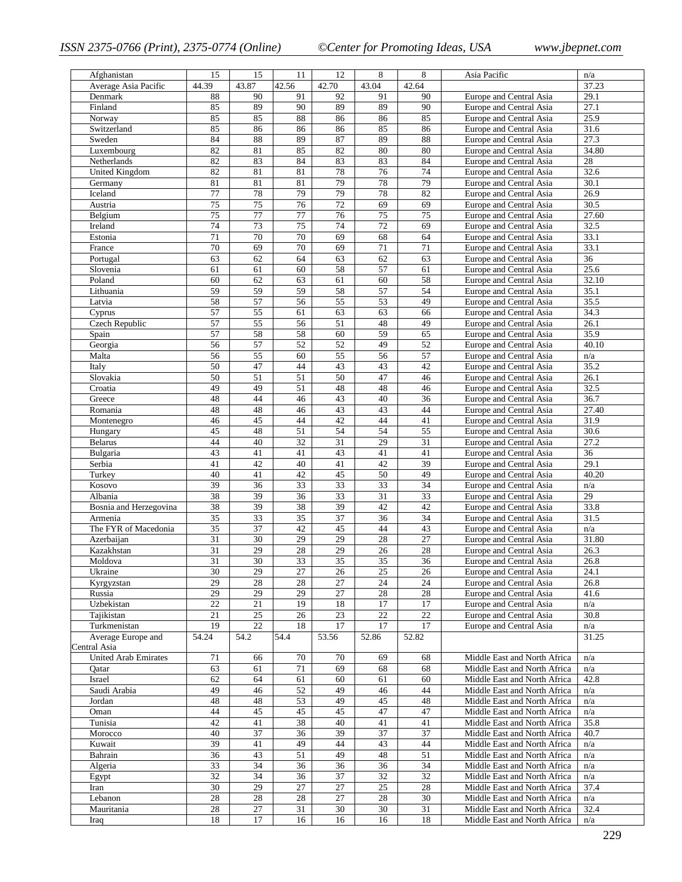| Afghanistan                 | 15              | 15              | 11              | 12              | 8               | 8               | Asia Pacific                                                 | n/a             |
|-----------------------------|-----------------|-----------------|-----------------|-----------------|-----------------|-----------------|--------------------------------------------------------------|-----------------|
| Average Asia Pacific        | 44.39           | 43.87           | 42.56           | 42.70           | 43.04           | 42.64           |                                                              | 37.23           |
| Denmark                     | 88              | 90              | 91              | 92              | 91              | 90              | Europe and Central Asia                                      | 29.1            |
| Finland                     | 85              | 89              | 90              | 89              | 89              | 90              | Europe and Central Asia                                      | 27.1            |
| Norway                      | 85              | 85              | 88              | 86              | 86              | 85              | Europe and Central Asia                                      | 25.9            |
| Switzerland                 | 85              | 86              | 86              | 86              | 85              | 86              | Europe and Central Asia                                      | 31.6            |
| Sweden                      | 84              | 88              | 89              | 87              | 89              | 88              | Europe and Central Asia                                      | 27.3            |
| Luxembourg                  | 82              | 81              | 85              | 82              | 80              | 80              | Europe and Central Asia                                      | 34.80           |
| Netherlands                 | 82              | 83              | 84              | 83              | 83              | 84              | <b>Europe and Central Asia</b>                               | 28              |
| <b>United Kingdom</b>       | 82              | 81              | 81              | $78\,$          | 76              | 74              | Europe and Central Asia                                      | 32.6            |
| Germany                     | 81              | 81              | 81              | 79              | 78              | 79              | Europe and Central Asia                                      | 30.1            |
| Iceland                     | 77              | 78              | 79              | 79              | 78              | 82              | Europe and Central Asia                                      | 26.9            |
| Austria                     | $\overline{75}$ | $\overline{75}$ | $\overline{76}$ | $\overline{72}$ | 69              | 69              | Europe and Central Asia                                      | 30.5            |
| Belgium                     | 75              | 77              | $77 \,$         | 76              | 75              | 75              | Europe and Central Asia                                      | 27.60           |
| Ireland                     | 74              | 73              | $\overline{75}$ | 74              | $\overline{72}$ | 69              | Europe and Central Asia                                      | 32.5            |
| Estonia                     | $\overline{71}$ | 70              | 70              | 69              | 68              | 64              | Europe and Central Asia                                      | 33.1            |
| France                      | 70              | 69              | 70              | 69              | $71\,$          | 71              | Europe and Central Asia                                      | 33.1            |
| Portugal                    | 63              | 62              | 64              | 63              | 62              | 63              | Europe and Central Asia                                      | $\overline{36}$ |
| Slovenia                    | 61              | 61              | 60              | 58              | 57              | 61              | Europe and Central Asia                                      | 25.6            |
| Poland                      | 60              | 62              | 63              | 61              | 60              | 58              | Europe and Central Asia                                      | 32.10           |
| Lithuania                   | 59              | 59<br>57        | 59              | 58              | 57              | 54<br>49        | Europe and Central Asia                                      | 35.1            |
| Latvia                      | 58              |                 | 56              | 55<br>63        | 53              |                 | Europe and Central Asia<br>Europe and Central Asia           | 35.5            |
| Cyprus<br>Czech Republic    | 57<br>57        | 55<br>55        | 61<br>56        | $\overline{51}$ | 63<br>48        | 66<br>49        | Europe and Central Asia                                      | 34.3<br>26.1    |
|                             | 57              | 58              | 58              | 60              | 59              |                 | Europe and Central Asia                                      | 35.9            |
| Spain<br>Georgia            | 56              | 57              | 52              | 52              | 49              | 65<br>52        | Europe and Central Asia                                      | 40.10           |
| Malta                       | 56              | 55              | 60              | 55              | 56              | 57              | Europe and Central Asia                                      | n/a             |
| Italy                       | 50              | 47              | 44              | 43              | 43              | 42              | Europe and Central Asia                                      | 35.2            |
| Slovakia                    | 50              | $\overline{51}$ | $\overline{51}$ | $\overline{50}$ | 47              | 46              | Europe and Central Asia                                      | 26.1            |
| Croatia                     | 49              | 49              | 51              | 48              | 48              | 46              | Europe and Central Asia                                      | 32.5            |
| Greece                      | 48              | 44              | 46              | 43              | 40              | 36              | Europe and Central Asia                                      | 36.7            |
| Romania                     | 48              | 48              | 46              | 43              | 43              | 44              | Europe and Central Asia                                      | 27.40           |
| Montenegro                  | 46              | 45              | 44              | 42              | 44              | 41              | Europe and Central Asia                                      | 31.9            |
| Hungary                     | 45              | 48              | 51              | 54              | 54              | 55              | Europe and Central Asia                                      | 30.6            |
| <b>Belarus</b>              | 44              | 40              | $\overline{32}$ | 31              | 29              | 31              | Europe and Central Asia                                      | 27.2            |
| Bulgaria                    | 43              | 41              | 41              | 43              | 41              | 41              | Europe and Central Asia                                      | 36              |
| Serbia                      | 41              | 42              | 40              | 41              | 42              | 39              | Europe and Central Asia                                      | 29.1            |
| Turkey                      | 40              | 41              | 42              | 45              | 50              | 49              | Europe and Central Asia                                      | 40.20           |
| Kosovo                      | 39              | $\overline{36}$ | $\overline{33}$ | 33              | 33              | 34              | Europe and Central Asia                                      | n/a             |
| Albania                     | 38              | 39              | 36              | 33              | 31              | 33              | Europe and Central Asia                                      | 29              |
| Bosnia and Herzegovina      | 38              | 39              | 38              | 39              | 42              | 42              | Europe and Central Asia                                      | 33.8            |
| Armenia                     | 35              | 33              | 35              | 37              | 36              | 34              | Europe and Central Asia                                      | 31.5            |
| The FYR of Macedonia        | 35              | 37              | 42              | 45              | 44              | 43              | Europe and Central Asia                                      | n/a             |
| Azerbaijan                  | 31              | 30              | 29              | 29              | 28              | $\overline{27}$ | Europe and Central Asia                                      | 31.80           |
| Kazakhstan                  | 31              | 29              | 28              | 29              | 26              | 28              | Europe and Central Asia                                      | 26.3            |
| Moldova                     | 31              | 30              | 33              | $\overline{35}$ | $\overline{35}$ | 36              | Europe and Central Asia                                      | 26.8            |
| Ukraine                     | 30              | 29              | 27              | 26              | 25              | 26              | Europe and Central Asia                                      | 24.1            |
| Kyrgyzstan                  | 29              | 28              | 28              | $27\,$          | 24              | 24              | Europe and Central Asia                                      | 26.8            |
| Russia                      | 29              | 29              | 29              | 27              | 28              | 28              | Europe and Central Asia                                      | 41.6            |
| Uzbekistan                  | $22\,$          | 21              | 19              | 18              | 17              | 17              | Europe and Central Asia                                      | n/a             |
| Tajikistan                  | 21              | 25              | 26              | 23              | 22              | $22\,$          | Europe and Central Asia                                      | 30.8            |
| Turkmenistan                | 19              | $\overline{22}$ | 18              | 17              | $\overline{17}$ | 17              | Europe and Central Asia                                      | n/a             |
| Average Europe and          | 54.24           | 54.2            | 54.4            | 53.56           | 52.86           | 52.82           |                                                              | 31.25           |
| Central Asia                |                 |                 |                 |                 |                 |                 |                                                              |                 |
| <b>United Arab Emirates</b> | 71<br>63        | 66              | 70<br>71        | 70<br>69        | 69<br>68        | 68<br>68        | Middle East and North Africa<br>Middle East and North Africa | n/a             |
| Qatar<br>Israel             | 62              | 61<br>64        | 61              | 60              | 61              | 60              | Middle East and North Africa                                 | n/a<br>42.8     |
| Saudi Arabia                | 49              | 46              | 52              | 49              | 46              | 44              | Middle East and North Africa                                 | n/a             |
| Jordan                      | 48              | 48              | 53              | 49              | 45              | 48              | Middle East and North Africa                                 | n/a             |
| Oman                        | 44              | 45              | 45              | 45              | 47              | 47              | Middle East and North Africa                                 | n/a             |
| Tunisia                     | 42              | 41              | 38              | 40              | 41              | 41              | Middle East and North Africa                                 | 35.8            |
| Morocco                     | 40              | $\overline{37}$ | $\overline{36}$ | 39              | 37              | $\overline{37}$ | Middle East and North Africa                                 | 40.7            |
| Kuwait                      | 39              | 41              | 49              | 44              | 43              | 44              | Middle East and North Africa                                 | n/a             |
| Bahrain                     | 36              | 43              | 51              | 49              | 48              | 51              | Middle East and North Africa                                 | n/a             |
| Algeria                     | 33              | 34              | 36              | 36              | 36              | 34              | Middle East and North Africa                                 | n/a             |
| Egypt                       | 32              | 34              | 36              | 37              | 32              | 32              | Middle East and North Africa                                 | n/a             |
| Iran                        | 30              | 29              | 27              | 27              | 25              | $28\,$          | Middle East and North Africa                                 | 37.4            |
| Lebanon                     | 28              | $28\,$          | 28              | 27              | 28              | $30\,$          | Middle East and North Africa                                 | n/a             |
| Mauritania                  | $28\,$          | $27\,$          | 31              | 30              | $30\,$          | 31              | Middle East and North Africa                                 | 32.4            |
| Iraq                        | 18              | 17              | 16              | 16              | 16              | 18              | Middle East and North Africa                                 | n/a             |